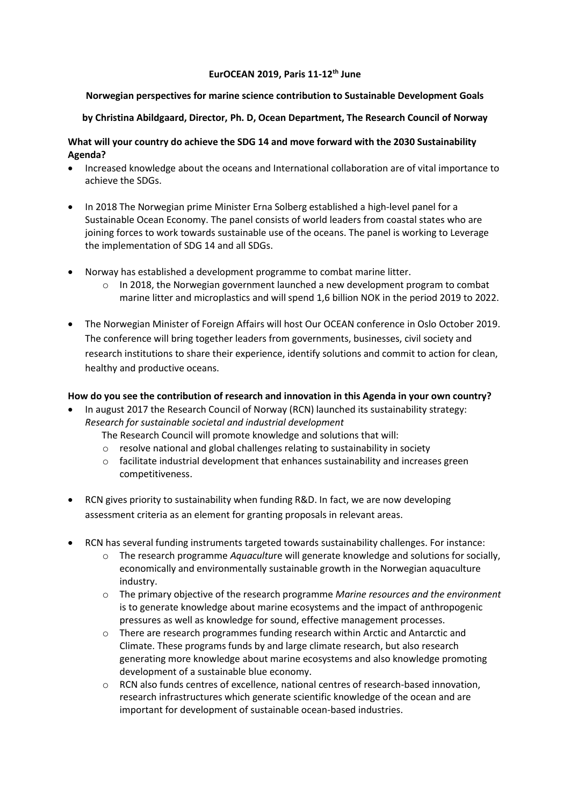### **EurOCEAN 2019, Paris 11-12th June**

## **Norwegian perspectives for marine science contribution to Sustainable Development Goals**

## **by Christina Abildgaard, Director, Ph. D, Ocean Department, The Research Council of Norway**

# **What will your country do achieve the SDG 14 and move forward with the 2030 Sustainability Agenda?**

- Increased knowledge about the oceans and International collaboration are of vital importance to achieve the SDGs.
- In 2018 The Norwegian prime Minister Erna Solberg established a high-level panel for a Sustainable Ocean Economy. The panel consists of world leaders from coastal states who are joining forces to work towards sustainable use of the oceans. The panel is working to Leverage the implementation of SDG 14 and all SDGs.
- Norway has established a development programme to combat marine litter.
	- $\circ$  In 2018, the Norwegian government launched a new development program to combat marine litter and microplastics and will spend 1,6 billion NOK in the period 2019 to 2022.
- The Norwegian Minister of Foreign Affairs will host Our OCEAN conference in Oslo October 2019. The conference will bring together leaders from governments, businesses, civil society and research institutions to share their experience, identify solutions and commit to action for clean, healthy and productive oceans.

## **How do you see the contribution of research and innovation in this Agenda in your own country?**

- In august 2017 the Research Council of Norway (RCN) launched its sustainability strategy: *Research for sustainable societal and industrial development*
	- The Research Council will promote knowledge and solutions that will:
	- o resolve national and global challenges relating to sustainability in society
	- o facilitate industrial development that enhances sustainability and increases green competitiveness.
- RCN gives priority to sustainability when funding R&D. In fact, we are now developing assessment criteria as an element for granting proposals in relevant areas.
- RCN has several funding instruments targeted towards sustainability challenges. For instance:
	- o The research programme *Aquacultu*re will generate knowledge and solutions for socially, economically and environmentally sustainable growth in the Norwegian aquaculture industry.
	- o The primary objective of the research programme *Marine resources and the environment* is to generate knowledge about marine ecosystems and the impact of anthropogenic pressures as well as knowledge for sound, effective management processes.
	- o There are research programmes funding research within Arctic and Antarctic and Climate. These programs funds by and large climate research, but also research generating more knowledge about marine ecosystems and also knowledge promoting development of a sustainable blue economy.
	- o RCN also funds centres of excellence, national centres of research-based innovation, research infrastructures which generate scientific knowledge of the ocean and are important for development of sustainable ocean-based industries.